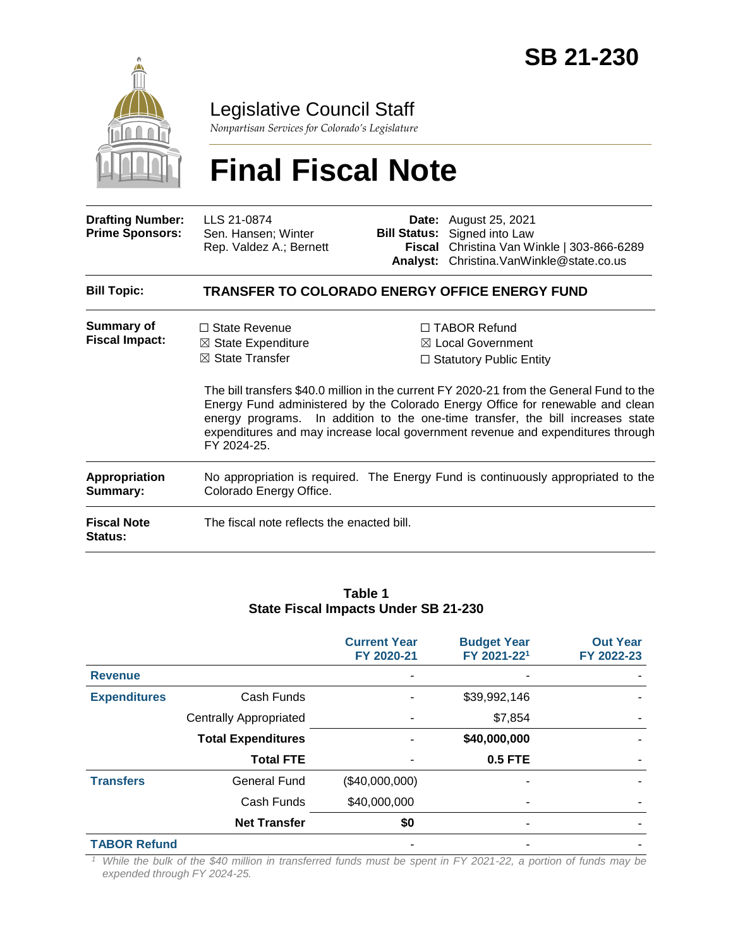

# Legislative Council Staff

*Nonpartisan Services for Colorado's Legislature*

# **Final Fiscal Note**

| <b>Drafting Number:</b><br><b>Prime Sponsors:</b> | LLS 21-0874<br>Sen. Hansen; Winter<br>Rep. Valdez A.; Bernett | <b>Date:</b> August 25, 2021<br><b>Bill Status:</b> Signed into Law<br>Fiscal Christina Van Winkle   303-866-6289<br>Analyst: Christina.VanWinkle@state.co.us |
|---------------------------------------------------|---------------------------------------------------------------|---------------------------------------------------------------------------------------------------------------------------------------------------------------|
|                                                   |                                                               |                                                                                                                                                               |

#### **Bill Topic: TRANSFER TO COLORADO ENERGY OFFICE ENERGY FUND**

| Summary of            | $\Box$ State Revenue          | □ TABOR Refund                                                          |
|-----------------------|-------------------------------|-------------------------------------------------------------------------|
| <b>Fiscal Impact:</b> | $\boxtimes$ State Expenditure | $\boxtimes$ Local Government                                            |
|                       | $\boxtimes$ State Transfer    | $\Box$ Statutory Public Entity                                          |
|                       |                               | The bill transfers \$40.0 million in the current FY 2020-21 from the Go |

eneral Fund to the Energy Fund administered by the Colorado Energy Office for renewable and clean energy programs. In addition to the one-time transfer, the bill increases state expenditures and may increase local government revenue and expenditures through FY 2024-25.

**Appropriation Summary:** No appropriation is required. The Energy Fund is continuously appropriated to the Colorado Energy Office.

**Fiscal Note Status:** The fiscal note reflects the enacted bill.

#### **Table 1 State Fiscal Impacts Under SB 21-230**

|                     |                               | <b>Current Year</b><br>FY 2020-21 | <b>Budget Year</b><br>FY 2021-221 | <b>Out Year</b><br>FY 2022-23 |
|---------------------|-------------------------------|-----------------------------------|-----------------------------------|-------------------------------|
| <b>Revenue</b>      |                               |                                   |                                   |                               |
| <b>Expenditures</b> | Cash Funds                    |                                   | \$39,992,146                      |                               |
|                     | <b>Centrally Appropriated</b> |                                   | \$7,854                           |                               |
|                     | <b>Total Expenditures</b>     |                                   | \$40,000,000                      |                               |
|                     | <b>Total FTE</b>              |                                   | <b>0.5 FTE</b>                    |                               |
| <b>Transfers</b>    | <b>General Fund</b>           | (\$40,000,000)                    |                                   |                               |
|                     | Cash Funds                    | \$40,000,000                      |                                   |                               |
|                     | <b>Net Transfer</b>           | \$0                               | ۰                                 |                               |
| <b>TABOR Refund</b> |                               |                                   |                                   |                               |

*<sup>1</sup> While the bulk of the \$40 million in transferred funds must be spent in FY 2021-22, a portion of funds may be expended through FY 2024-25.*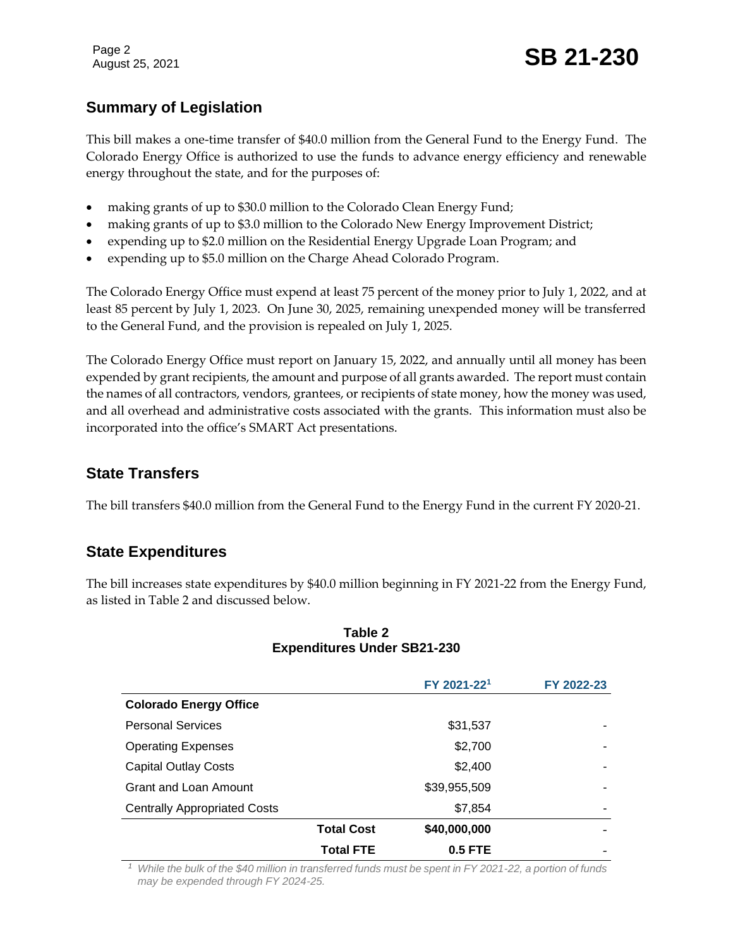Page 2

# Page 2<br>August 25, 2021 **SB 21-230**

## **Summary of Legislation**

This bill makes a one-time transfer of \$40.0 million from the General Fund to the Energy Fund. The Colorado Energy Office is authorized to use the funds to advance energy efficiency and renewable energy throughout the state, and for the purposes of:

- making grants of up to \$30.0 million to the Colorado Clean Energy Fund;
- making grants of up to \$3.0 million to the Colorado New Energy Improvement District;
- expending up to \$2.0 million on the Residential Energy Upgrade Loan Program; and
- expending up to \$5.0 million on the Charge Ahead Colorado Program.

The Colorado Energy Office must expend at least 75 percent of the money prior to July 1, 2022, and at least 85 percent by July 1, 2023. On June 30, 2025, remaining unexpended money will be transferred to the General Fund, and the provision is repealed on July 1, 2025.

The Colorado Energy Office must report on January 15, 2022, and annually until all money has been expended by grant recipients, the amount and purpose of all grants awarded. The report must contain the names of all contractors, vendors, grantees, or recipients of state money, how the money was used, and all overhead and administrative costs associated with the grants. This information must also be incorporated into the office's SMART Act presentations.

### **State Transfers**

The bill transfers \$40.0 million from the General Fund to the Energy Fund in the current FY 2020-21.

#### **State Expenditures**

The bill increases state expenditures by \$40.0 million beginning in FY 2021-22 from the Energy Fund, as listed in Table 2 and discussed below.

|                                     |                   | FY 2021-221  | FY 2022-23 |
|-------------------------------------|-------------------|--------------|------------|
| <b>Colorado Energy Office</b>       |                   |              |            |
| <b>Personal Services</b>            |                   | \$31,537     |            |
| <b>Operating Expenses</b>           |                   | \$2,700      |            |
| <b>Capital Outlay Costs</b>         |                   | \$2,400      | ۰          |
| <b>Grant and Loan Amount</b>        |                   | \$39,955,509 | ۰          |
| <b>Centrally Appropriated Costs</b> |                   | \$7,854      | ۰          |
|                                     | <b>Total Cost</b> | \$40,000,000 |            |
|                                     | <b>Total FTE</b>  | $0.5$ FTE    |            |

#### **Table 2 Expenditures Under SB21-230**

*<sup>1</sup> While the bulk of the \$40 million in transferred funds must be spent in FY 2021-22, a portion of funds may be expended through FY 2024-25.*